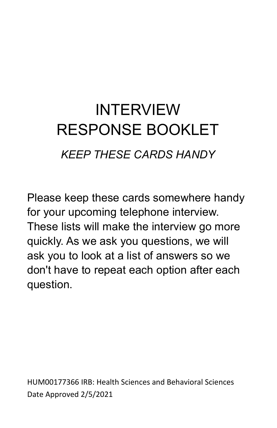#### INTERVIEW RESPONSE BOOKLET *KEEP THESE CARDS HANDY*

Please keep these cards somewhere handy for your upcoming telephone interview. These lists will make the interview go more quickly. As we ask you questions, we will ask you to look at a list of answers so we don't have to repeat each option after each question.

HUM00177366 IRB: Health Sciences and Behavioral Sciences Date Approved 2/5/2021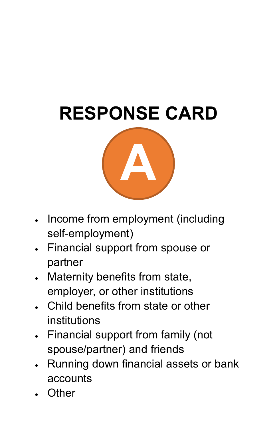

- Income from employment (including self-employment)
- Financial support from spouse or partner
- Maternity benefits from state, employer, or other institutions
- Child benefits from state or other institutions
- Financial support from family (not spouse/partner) and friends
- Running down financial assets or bank accounts
- Other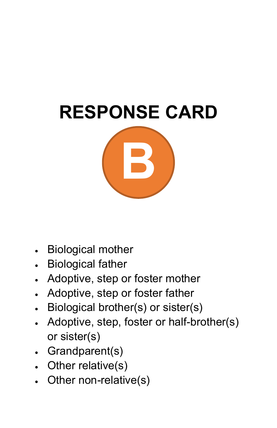

- Biological mother
- Biological father
- Adoptive, step or foster mother
- Adoptive, step or foster father
- Biological brother(s) or sister(s)
- Adoptive, step, foster or half-brother(s) or sister(s)
- Grandparent(s)
- Other relative(s)
- Other non-relative(s)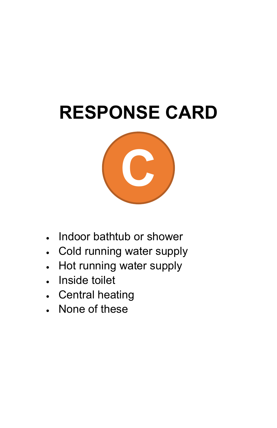

- Indoor bathtub or shower
- Cold running water supply
- Hot running water supply
- Inside toilet
- Central heating
- None of these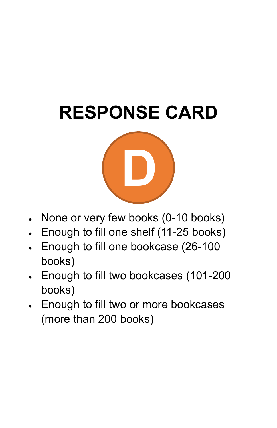

- None or very few books (0-10 books)
- Enough to fill one shelf (11-25 books)
- Enough to fill one bookcase (26-100 books)
- Enough to fill two bookcases (101-200 books)
- Enough to fill two or more bookcases (more than 200 books)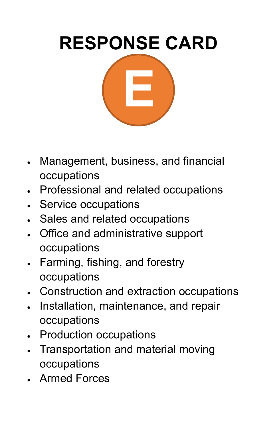

- Management, business, and financial occupations
- Professional and related occupations
- Service occupations
- Sales and related occupations
- Office and administrative support occupations
- Farming, fishing, and forestry occupations
- Construction and extraction occupations
- Installation, maintenance, and repair occupations
- Production occupations
- Transportation and material moving occupations
- Armed Forces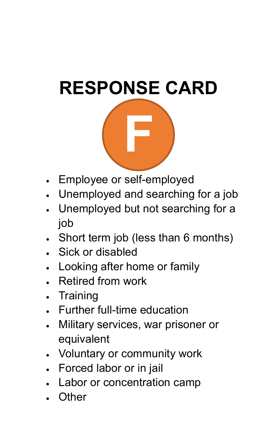- Employee or self-employed
- Unemployed and searching for a job
- Unemployed but not searching for a job
- Short term job (less than 6 months)
- Sick or disabled
- Looking after home or family
- Retired from work
- Training
- Further full-time education
- Military services, war prisoner or equivalent
- Voluntary or community work
- Forced labor or in jail
- Labor or concentration camp
- Other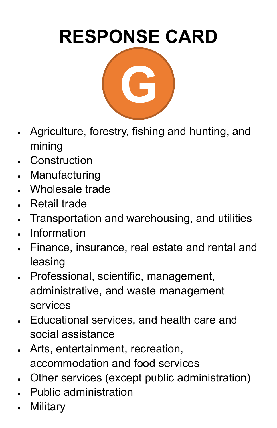

- Agriculture, forestry, fishing and hunting, and mining
- **Construction**
- Manufacturing
- Wholesale trade
- Retail trade
- Transportation and warehousing, and utilities
- **Information**
- Finance, insurance, real estate and rental and leasing
- Professional, scientific, management, administrative, and waste management services
- Educational services, and health care and social assistance
- Arts, entertainment, recreation, accommodation and food services
- Other services (except public administration)
- Public administration
- **Military**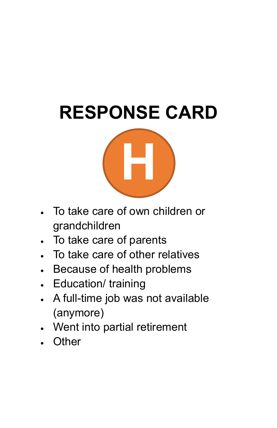

- To take care of own children or grandchildren
- To take care of parents
- To take care of other relatives
- Because of health problems
- Education/ training
- A full-time job was not available (anymore)
- Went into partial retirement
- Other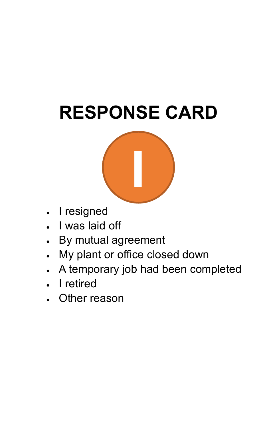

- I resigned
- I was laid off
- By mutual agreement
- My plant or office closed down
- A temporary job had been completed
- I retired
- **Other reason**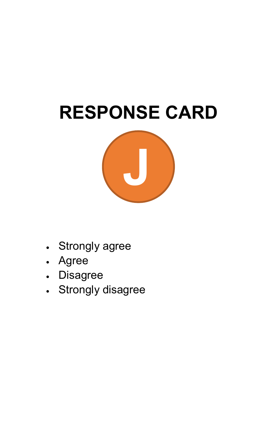

- Strongly agree
- Agree
- Disagree
- Strongly disagree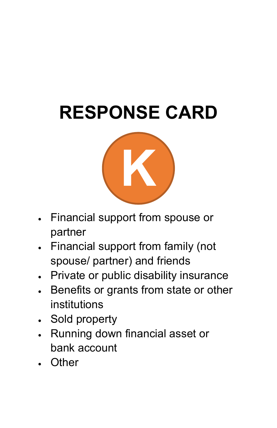

- Financial support from spouse or partner
- Financial support from family (not spouse/ partner) and friends
- Private or public disability insurance
- Benefits or grants from state or other institutions
- Sold property
- Running down financial asset or bank account
- **Other**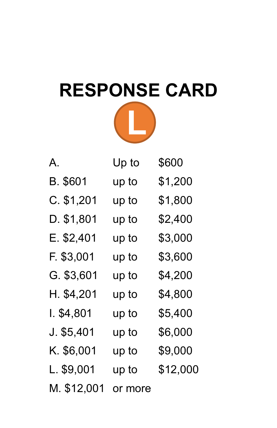| А.           | Up to   | \$600    |
|--------------|---------|----------|
| B. \$601     | up to   | \$1,200  |
| $C.$ \$1,201 | up to   | \$1,800  |
| D. \$1,801   | up to   | \$2,400  |
| E. \$2,401   | up to   | \$3,000  |
| F. \$3,001   | up to   | \$3,600  |
| G. \$3,601   | up to   | \$4,200  |
| H. \$4,201   | up to   | \$4,800  |
| l. \$4,801   | up to   | \$5,400  |
| J. \$5,401   | up to   | \$6,000  |
| K. \$6,001   | up to   | \$9,000  |
| L. \$9,001   | up to   | \$12,000 |
| M. \$12,001  | or more |          |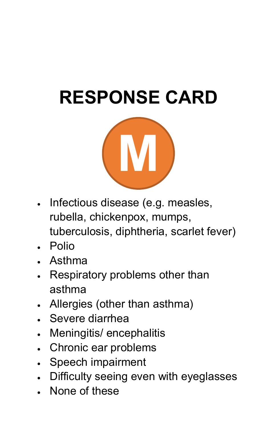

- Infectious disease (e.g. measles, rubella, chickenpox, mumps, tuberculosis, diphtheria, scarlet fever)
- Polio
- Asthma
- Respiratory problems other than asthma
- Allergies (other than asthma)
- Severe diarrhea
- Meningitis/ encephalitis
- Chronic ear problems
- Speech impairment
- Difficulty seeing even with eyeglasses
- None of these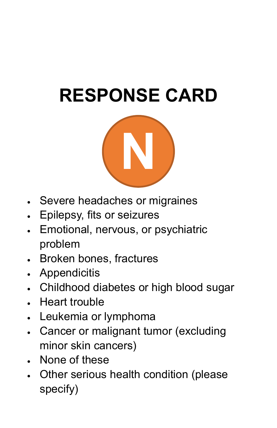

- Severe headaches or migraines
- Epilepsy, fits or seizures
- Emotional, nervous, or psychiatric problem
- Broken bones, fractures
- Appendicitis
- Childhood diabetes or high blood sugar
- Heart trouble
- Leukemia or lymphoma
- Cancer or malignant tumor (excluding minor skin cancers)
- None of these
- Other serious health condition (please specify)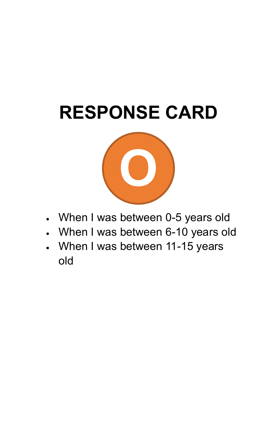

- When I was between 0-5 years old
- When I was between 6-10 years old
- When I was between 11-15 years old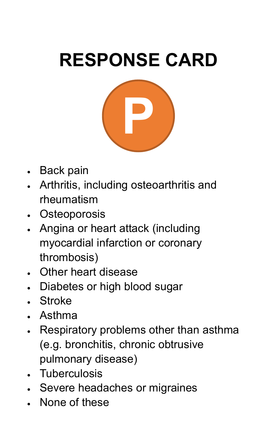

- Back pain
- Arthritis, including osteoarthritis and rheumatism
- Osteoporosis
- Angina or heart attack (including myocardial infarction or coronary thrombosis)
- Other heart disease
- Diabetes or high blood sugar
- Stroke
- Asthma
- Respiratory problems other than asthma (e.g. bronchitis, chronic obtrusive pulmonary disease)
- Tuberculosis
- Severe headaches or migraines
- None of these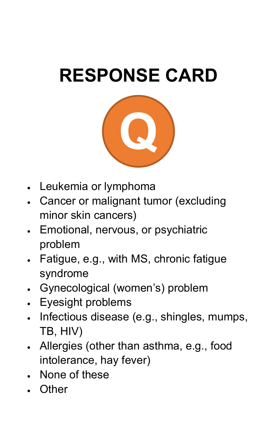

- Leukemia or lymphoma
- Cancer or malignant tumor (excluding minor skin cancers)
- Emotional, nervous, or psychiatric problem
- Fatigue, e.g., with MS, chronic fatigue syndrome
- Gynecological (women's) problem
- Eyesight problems
- Infectious disease (e.g., shingles, mumps, TB, HIV)
- Allergies (other than asthma, e.g., food intolerance, hay fever)
- None of these
- Other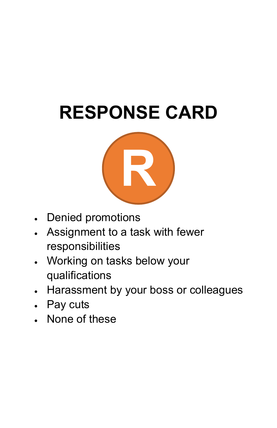

- Denied promotions
- Assignment to a task with fewer responsibilities
- Working on tasks below your qualifications
- Harassment by your boss or colleagues
- Pay cuts
- None of these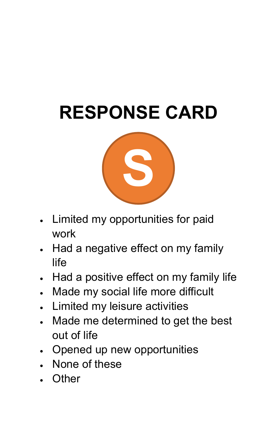

- Limited my opportunities for paid work
- Had a negative effect on my family life
- Had a positive effect on my family life
- Made my social life more difficult
- Limited my leisure activities
- Made me determined to get the best out of life
- Opened up new opportunities
- None of these
- Other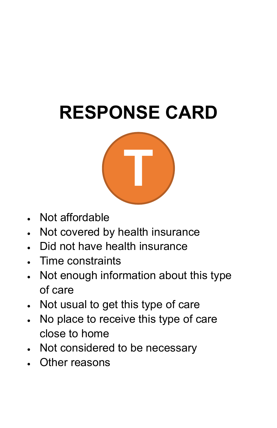

- Not affordable
- Not covered by health insurance
- Did not have health insurance
- Time constraints
- Not enough information about this type of care
- Not usual to get this type of care
- No place to receive this type of care close to home
- Not considered to be necessary
- Other reasons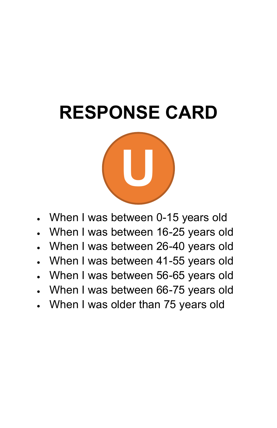

- When I was between 0-15 years old
- When I was between 16-25 years old
- When I was between 26-40 years old
- When I was between 41-55 years old
- When I was between 56-65 years old
- When I was between 66-75 years old
- When I was older than 75 years old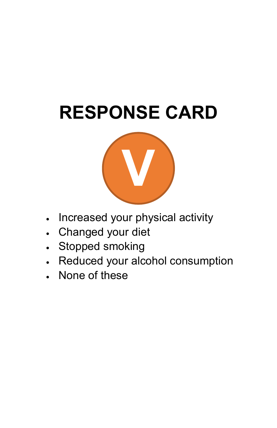

- Increased your physical activity
- Changed your diet
- Stopped smoking
- Reduced your alcohol consumption
- None of these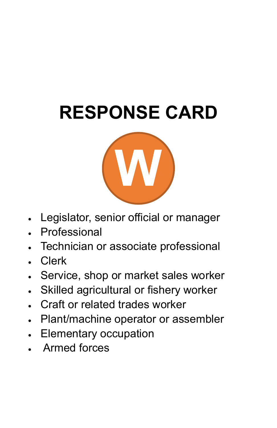

- Legislator, senior official or manager
- Professional
- Technician or associate professional
- Clerk
- Service, shop or market sales worker
- Skilled agricultural or fishery worker
- Craft or related trades worker
- Plant/machine operator or assembler
- Elementary occupation
- Armed forces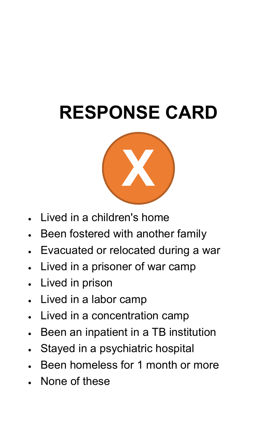

- Lived in a children's home
- Been fostered with another family
- Evacuated or relocated during a war
- Lived in a prisoner of war camp
- Lived in prison
- Lived in a labor camp
- Lived in a concentration camp
- Been an inpatient in a TB institution
- Stayed in a psychiatric hospital
- Been homeless for 1 month or more
- None of these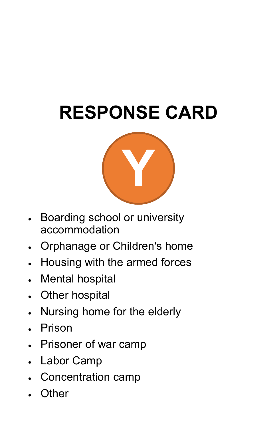

- Boarding school or university accommodation
- Orphanage or Children's home
- Housing with the armed forces
- Mental hospital
- Other hospital
- Nursing home for the elderly
- Prison
- Prisoner of war camp
- Labor Camp
- Concentration camp
- Other